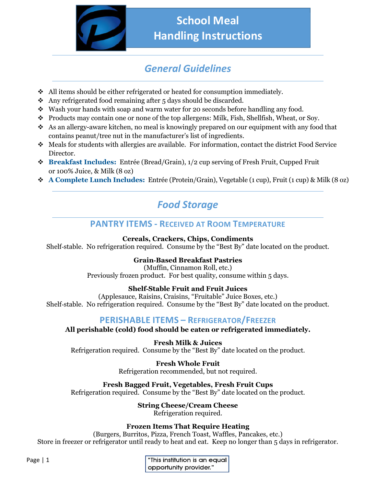

# **School Meal Handling Instructions**

# *General Guidelines*

- $\triangleleft$  All items should be either refrigerated or heated for consumption immediately.
- $\bullet$  Any refrigerated food remaining after 5 days should be discarded.
- $\cdot$  Wash your hands with soap and warm water for 20 seconds before handling any food.
- \* Products may contain one or none of the top allergens: Milk, Fish, Shellfish, Wheat, or Soy.
- $\bullet$  As an allergy-aware kitchen, no meal is knowingly prepared on our equipment with any food that contains peanut/tree nut in the manufacturer's list of ingredients.
- $\bullet$  Meals for students with allergies are available. For information, contact the district Food Service Director.
- **Breakfast Includes:** Entrée (Bread/Grain), 1/2 cup serving of Fresh Fruit, Cupped Fruit or 100% Juice, & Milk (8 oz)
- **A Complete Lunch Includes:** Entrée (Protein/Grain), Vegetable (1 cup), Fruit (1 cup) & Milk (8 oz)

# *Food Storage*

## **PANTRY ITEMS - RECEIVED AT ROOM TEMPERATURE**

**Cereals, Crackers, Chips, Condiments**

Shelf-stable. No refrigeration required. Consume by the "Best By" date located on the product.

### **Grain‐Based Breakfast Pastries**

(Muffin, Cinnamon Roll, etc.) Previously frozen product. For best quality, consume within 5 days.

## **Shelf‐Stable Fruit and Fruit Juices**

(Applesauce, Raisins, Craisins, "Fruitable" Juice Boxes, etc.) Shelf-stable. No refrigeration required. Consume by the "Best By" date located on the product.

## **PERISHABLE ITEMS – REFRIGERATOR/FREEZER**

**All perishable (cold) food should be eaten or refrigerated immediately.** 

**Fresh Milk & Juices** Refrigeration required. Consume by the "Best By" date located on the product.

> **Fresh Whole Fruit** Refrigeration recommended, but not required.

**Fresh Bagged Fruit, Vegetables, Fresh Fruit Cups** Refrigeration required. Consume by the "Best By" date located on the product.

**String Cheese/Cream Cheese**

Refrigeration required.

### **Frozen Items That Require Heating**

(Burgers, Burritos, Pizza, French Toast, Waffles, Pancakes, etc.) Store in freezer or refrigerator until ready to heat and eat. Keep no longer than 5 days in refrigerator.

| "This institution is an equal |
|-------------------------------|
| opportunity provider."        |